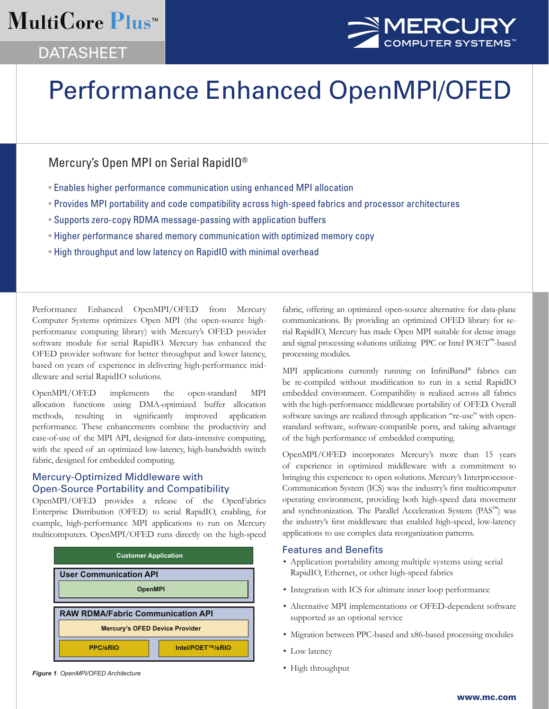# MultiCore Plus<sup>™</sup>





# Performance Enhanced OpenMPI/OFED

# Mercury's Open MPI on Serial RapidIO®

- Enables higher performance communication using enhanced MPI allocation
- Provides MPI portability and code compatibility across high-speed fabrics and processor architectures
- Supports zero-copy RDMA message-passing with application buffers
- Higher performance shared memory communication with optimized memory copy
- High throughput and low latency on RapidIO with minimal overhead

Performance Enhanced OpenMPI/OFED from Mercury Computer Systems optimizes Open MPI (the open-source highperformance computing library) with Mercury's OFED provider software module for serial RapidIO. Mercury has enhanced the OFED provider software for better throughput and lower latency, based on years of experience in delivering high-performance middleware and serial RapidIO solutions.

OpenMPI/OFED implements the open-standard MPI allocation functions using DMA-optimized buffer allocation methods, resulting in significantly improved application performance. These enhancements combine the productivity and ease-of-use of the MPI API, designed for data-intensive computing, with the speed of an optimized low-latency, high-bandwidth switch fabric, designed for embedded computing.

# Mercury-Optimized Middleware with Open-Source Portability and Compatibility

OpenMPI/OFED provides a release of the OpenFabrics Enterprise Distribution (OFED) to serial RapidIO, enabling, for example, high-performance MPI applications to run on Mercury multicomputers. OpenMPI/OFED runs directly on the high-speed



*Figure 1. OpenMPI/OFED Architecture*

fabric, offering an optimized open-source alternative for data-plane communications. By providing an optimized OFED library for serial RapidIO, Mercury has made Open MPI suitable for dense image and signal processing solutions utilizing PPC or Intel POET™-based processing modules.

MPI applications currently running on InfiniBand® fabrics can be re-compiled without modification to run in a serial RapidIO embedded environment. Compatibility is realized across all fabrics with the high-performance middleware portability of OFED. Overall software savings are realized through application "re-use" with openstandard software, software-compatible ports, and taking advantage of the high performance of embedded computing.

OpenMPI/OFED incorporates Mercury's more than 15 years of experience in optimized middleware with a commitment to bringing this experience to open solutions. Mercury's Interprocessor-Communication System (ICS) was the industry's first multicomputer operating environment, providing both high-speed data movement and synchronization. The Parallel Acceleration System (PAS™) was the industry's first middleware that enabled high-speed, low-latency applications to use complex data reorganization patterns.

# Features and Benefits

- Application portability among multiple systems using serial RapidIO, Ethernet, or other high-speed fabrics
- Integration with ICS for ultimate inner loop performance
- Alternative MPI implementations or OFED-dependent software supported as an optional service
- Migration between PPC-based and x86-based processing modules
- Low latency
- High throughput